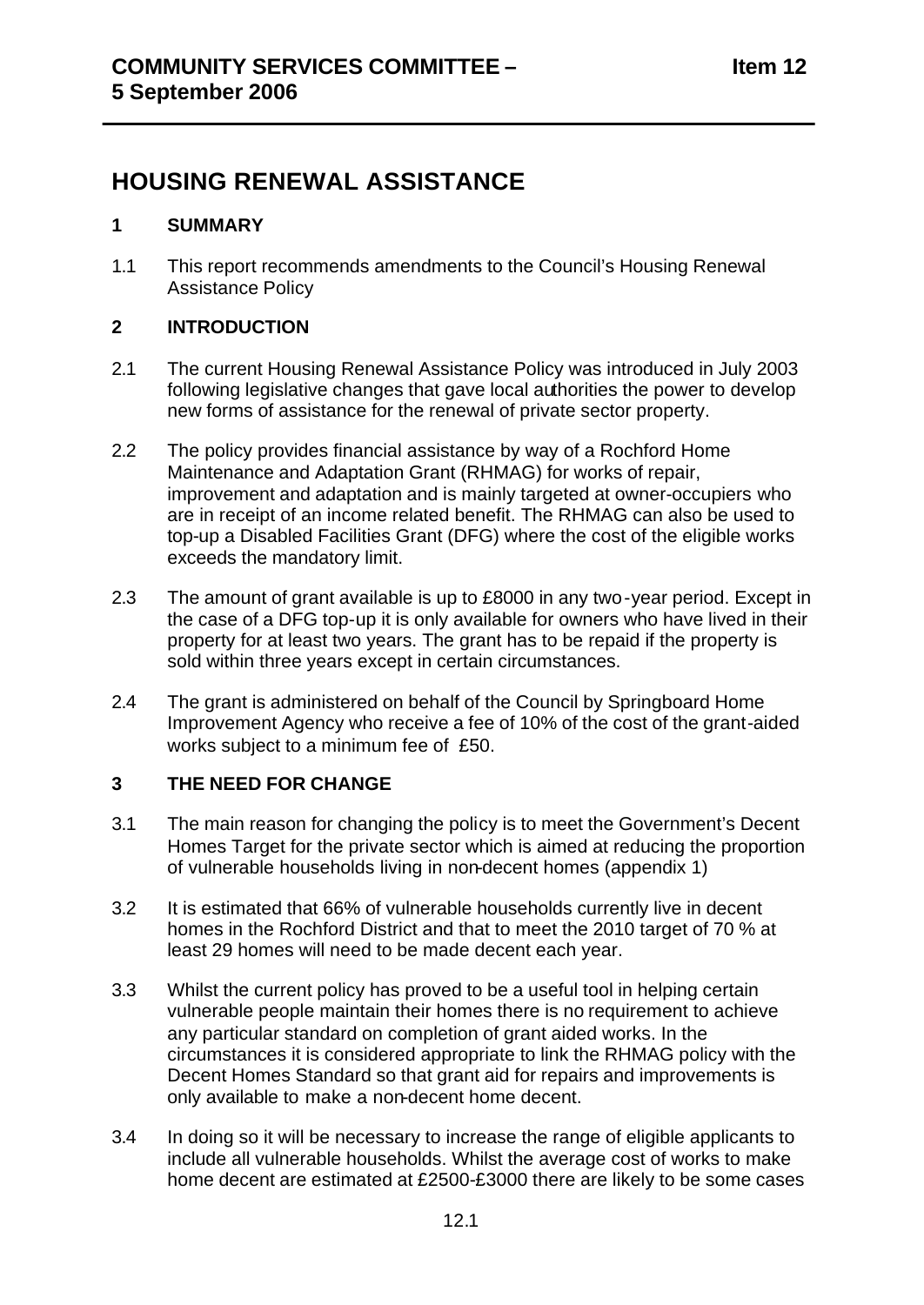## **HOUSING RENEWAL ASSISTANCE**

### **1 SUMMARY**

1.1 This report recommends amendments to the Council's Housing Renewal Assistance Policy

## **2 INTRODUCTION**

- 2.1 The current Housing Renewal Assistance Policy was introduced in July 2003 following legislative changes that gave local authorities the power to develop new forms of assistance for the renewal of private sector property.
- 2.2 The policy provides financial assistance by way of a Rochford Home Maintenance and Adaptation Grant (RHMAG) for works of repair, improvement and adaptation and is mainly targeted at owner-occupiers who are in receipt of an income related benefit. The RHMAG can also be used to top-up a Disabled Facilities Grant (DFG) where the cost of the eligible works exceeds the mandatory limit.
- 2.3 The amount of grant available is up to £8000 in any two -year period. Except in the case of a DFG top-up it is only available for owners who have lived in their property for at least two years. The grant has to be repaid if the property is sold within three years except in certain circumstances.
- 2.4 The grant is administered on behalf of the Council by Springboard Home Improvement Agency who receive a fee of 10% of the cost of the grant-aided works subject to a minimum fee of £50.

## **3 THE NEED FOR CHANGE**

- 3.1 The main reason for changing the policy is to meet the Government's Decent Homes Target for the private sector which is aimed at reducing the proportion of vulnerable households living in non-decent homes (appendix 1)
- 3.2 It is estimated that 66% of vulnerable households currently live in decent homes in the Rochford District and that to meet the 2010 target of 70 % at least 29 homes will need to be made decent each year.
- 3.3 Whilst the current policy has proved to be a useful tool in helping certain vulnerable people maintain their homes there is no requirement to achieve any particular standard on completion of grant aided works. In the circumstances it is considered appropriate to link the RHMAG policy with the Decent Homes Standard so that grant aid for repairs and improvements is only available to make a non-decent home decent.
- 3.4 In doing so it will be necessary to increase the range of eligible applicants to include all vulnerable households. Whilst the average cost of works to make home decent are estimated at £2500-£3000 there are likely to be some cases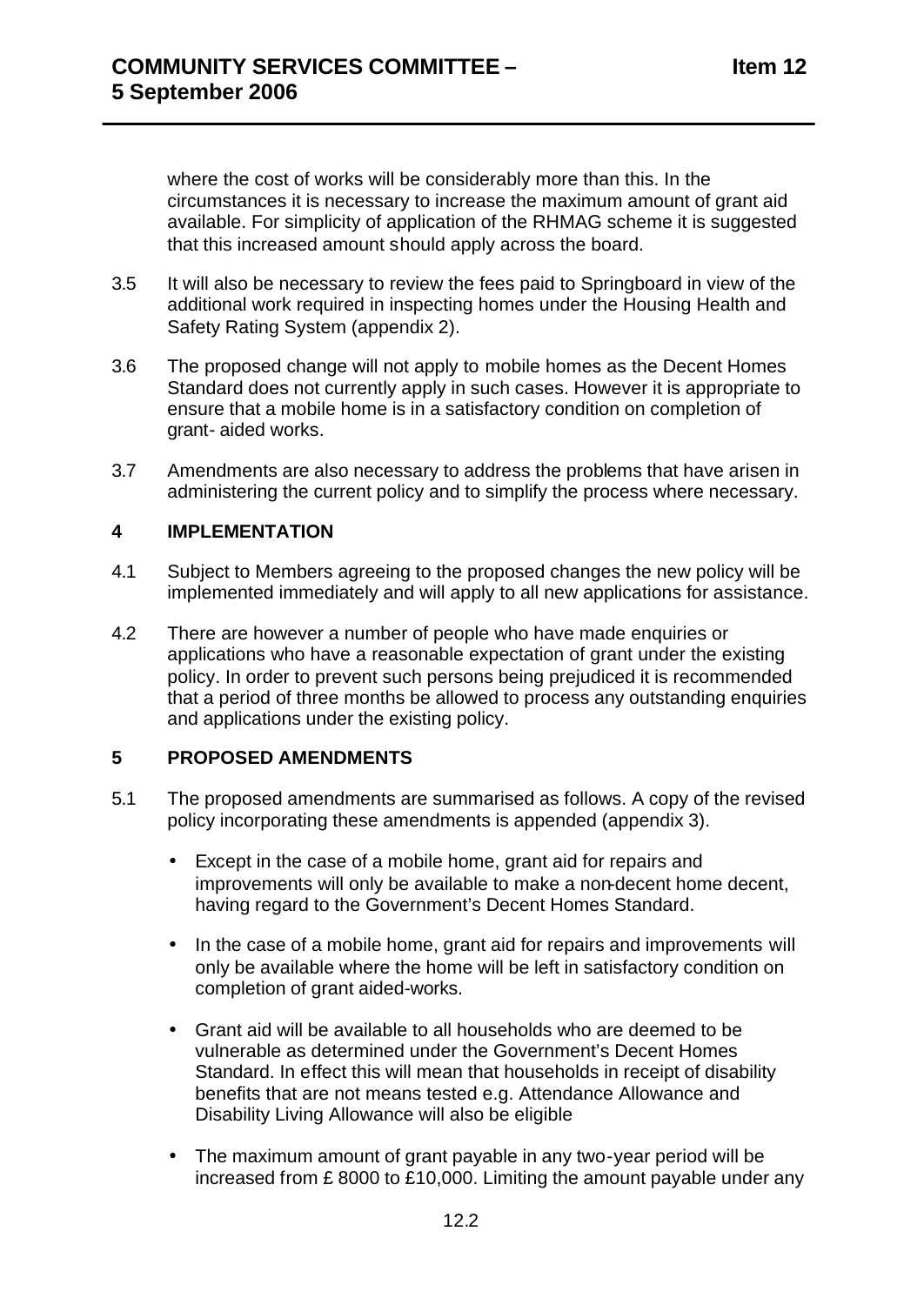where the cost of works will be considerably more than this. In the circumstances it is necessary to increase the maximum amount of grant aid available. For simplicity of application of the RHMAG scheme it is suggested that this increased amount should apply across the board.

- 3.5 It will also be necessary to review the fees paid to Springboard in view of the additional work required in inspecting homes under the Housing Health and Safety Rating System (appendix 2).
- 3.6 The proposed change will not apply to mobile homes as the Decent Homes Standard does not currently apply in such cases. However it is appropriate to ensure that a mobile home is in a satisfactory condition on completion of grant- aided works.
- 3.7 Amendments are also necessary to address the problems that have arisen in administering the current policy and to simplify the process where necessary.

#### **4 IMPLEMENTATION**

- 4.1 Subject to Members agreeing to the proposed changes the new policy will be implemented immediately and will apply to all new applications for assistance.
- 4.2 There are however a number of people who have made enquiries or applications who have a reasonable expectation of grant under the existing policy. In order to prevent such persons being prejudiced it is recommended that a period of three months be allowed to process any outstanding enquiries and applications under the existing policy.

#### **5 PROPOSED AMENDMENTS**

- 5.1 The proposed amendments are summarised as follows. A copy of the revised policy incorporating these amendments is appended (appendix 3).
	- Except in the case of a mobile home, grant aid for repairs and improvements will only be available to make a non-decent home decent, having regard to the Government's Decent Homes Standard.
	- In the case of a mobile home, grant aid for repairs and improvements will only be available where the home will be left in satisfactory condition on completion of grant aided-works.
	- Grant aid will be available to all households who are deemed to be vulnerable as determined under the Government's Decent Homes Standard. In effect this will mean that households in receipt of disability benefits that are not means tested e.g. Attendance Allowance and Disability Living Allowance will also be eligible
	- The maximum amount of grant payable in any two-year period will be increased from £ 8000 to £10,000. Limiting the amount payable under any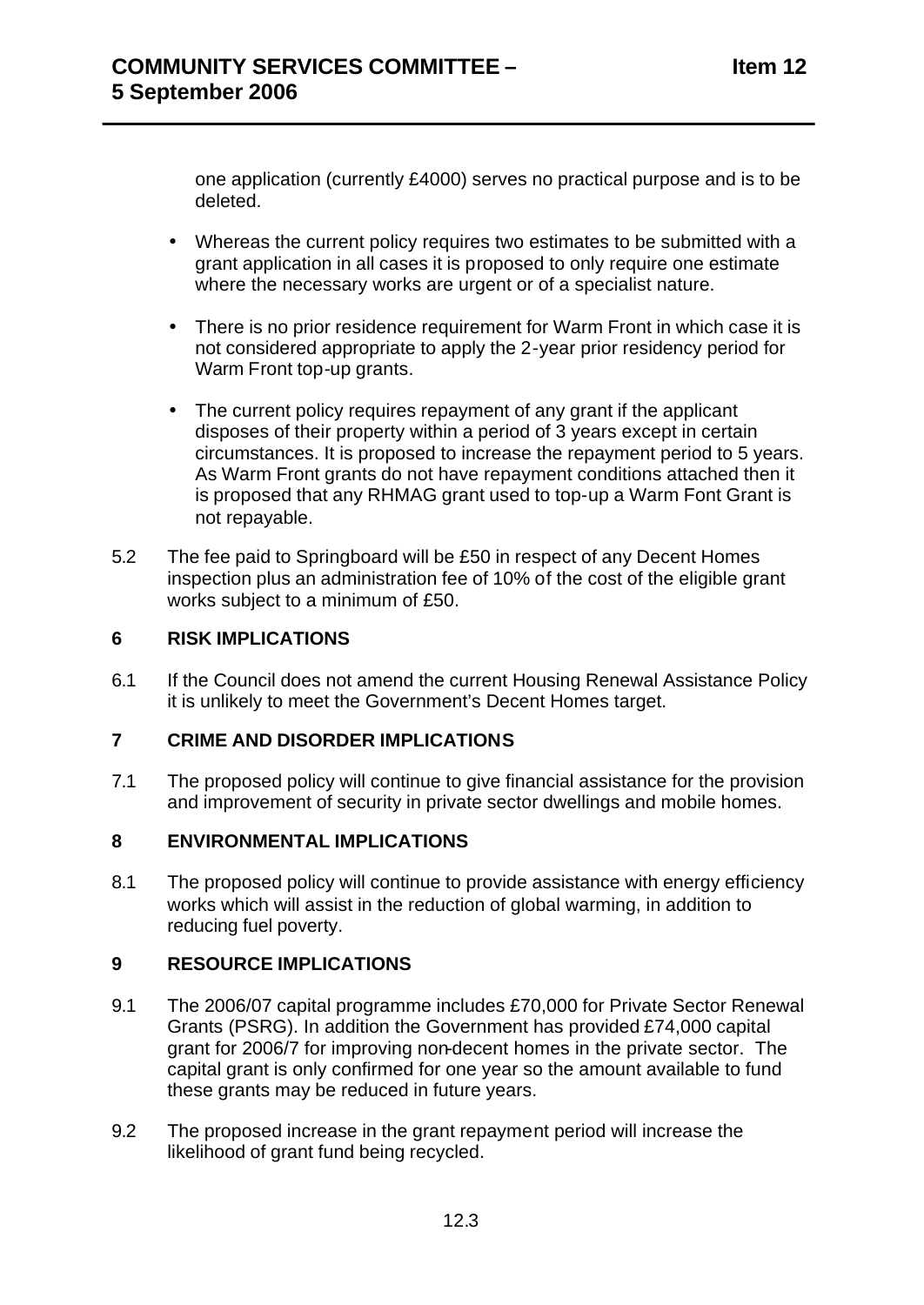one application (currently £4000) serves no practical purpose and is to be deleted.

- Whereas the current policy requires two estimates to be submitted with a grant application in all cases it is proposed to only require one estimate where the necessary works are urgent or of a specialist nature.
- There is no prior residence requirement for Warm Front in which case it is not considered appropriate to apply the 2-year prior residency period for Warm Front top-up grants.
- The current policy requires repayment of any grant if the applicant disposes of their property within a period of 3 years except in certain circumstances. It is proposed to increase the repayment period to 5 years. As Warm Front grants do not have repayment conditions attached then it is proposed that any RHMAG grant used to top-up a Warm Font Grant is not repayable.
- 5.2 The fee paid to Springboard will be £50 in respect of any Decent Homes inspection plus an administration fee of 10% of the cost of the eligible grant works subject to a minimum of £50.

### **6 RISK IMPLICATIONS**

6.1 If the Council does not amend the current Housing Renewal Assistance Policy it is unlikely to meet the Government's Decent Homes target.

#### **7 CRIME AND DISORDER IMPLICATIONS**

7.1 The proposed policy will continue to give financial assistance for the provision and improvement of security in private sector dwellings and mobile homes.

#### **8 ENVIRONMENTAL IMPLICATIONS**

8.1 The proposed policy will continue to provide assistance with energy efficiency works which will assist in the reduction of global warming, in addition to reducing fuel poverty.

#### **9 RESOURCE IMPLICATIONS**

- 9.1 The 2006/07 capital programme includes £70,000 for Private Sector Renewal Grants (PSRG). In addition the Government has provided £74,000 capital grant for 2006/7 for improving non-decent homes in the private sector. The capital grant is only confirmed for one year so the amount available to fund these grants may be reduced in future years.
- 9.2 The proposed increase in the grant repayment period will increase the likelihood of grant fund being recycled.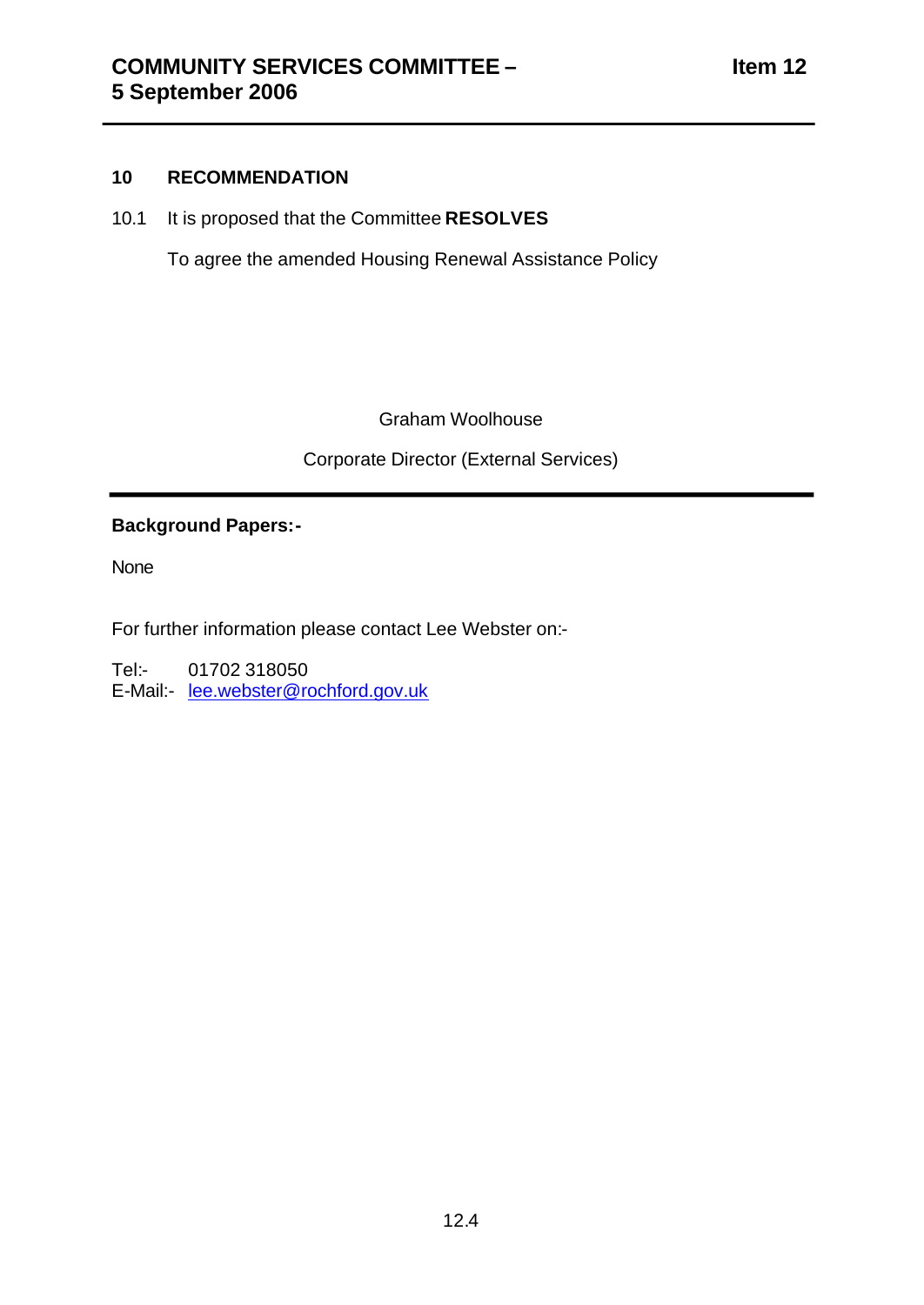#### **10 RECOMMENDATION**

10.1 It is proposed that the Committee **RESOLVES** 

To agree the amended Housing Renewal Assistance Policy

Graham Woolhouse

Corporate Director (External Services)

## **Background Papers:-**

None

For further information please contact Lee Webster on:-

Tel:- 01702 318050 E-Mail:- lee.webster@rochford.gov.uk

12.4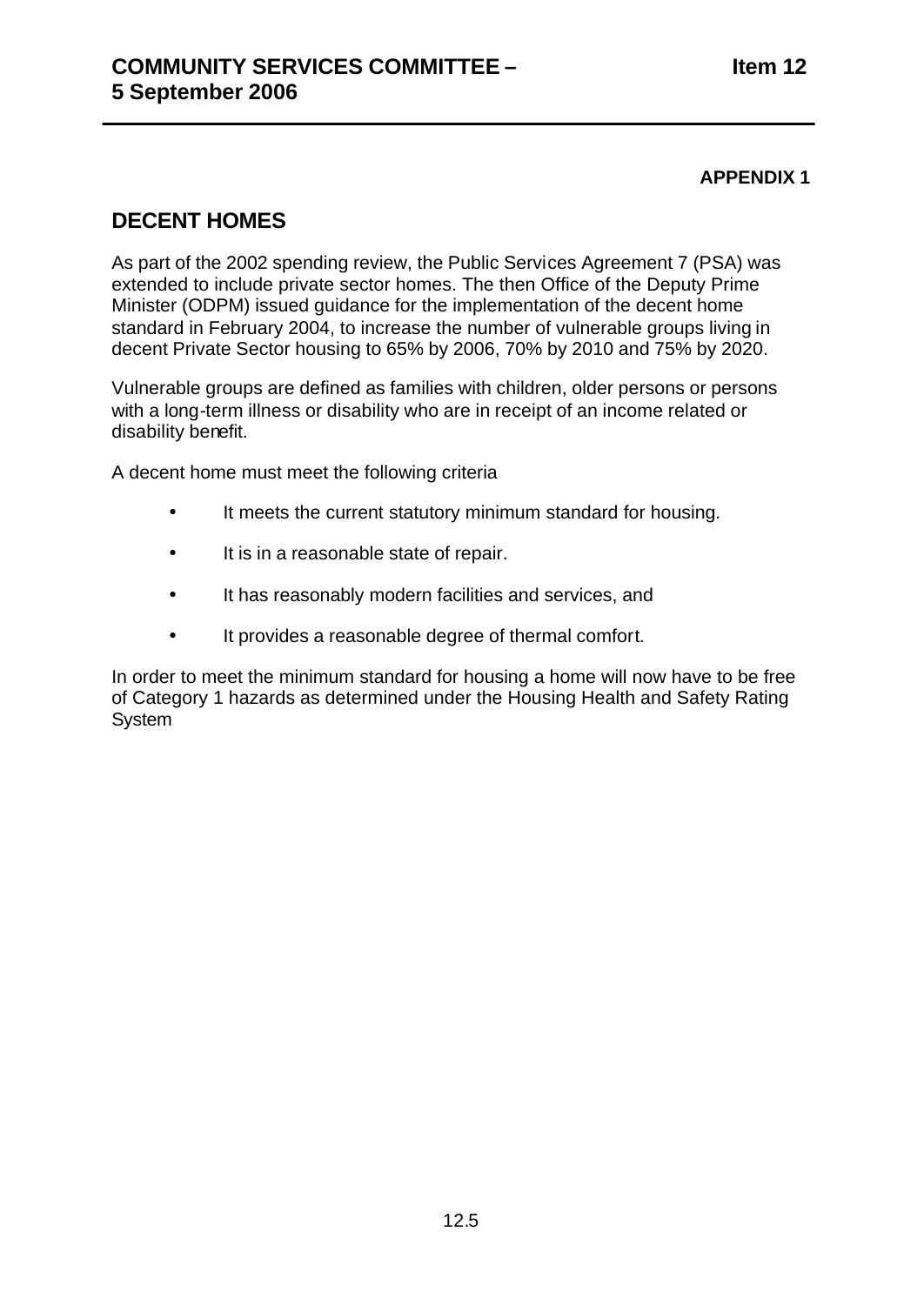## **APPENDIX 1**

## **DECENT HOMES**

As part of the 2002 spending review, the Public Services Agreement 7 (PSA) was extended to include private sector homes. The then Office of the Deputy Prime Minister (ODPM) issued guidance for the implementation of the decent home standard in February 2004, to increase the number of vulnerable groups living in decent Private Sector housing to 65% by 2006, 70% by 2010 and 75% by 2020.

Vulnerable groups are defined as families with children, older persons or persons with a long-term illness or disability who are in receipt of an income related or disability benefit.

A decent home must meet the following criteria

- It meets the current statutory minimum standard for housing.
- It is in a reasonable state of repair.
- It has reasonably modern facilities and services, and
- It provides a reasonable degree of thermal comfort.

In order to meet the minimum standard for housing a home will now have to be free of Category 1 hazards as determined under the Housing Health and Safety Rating **System**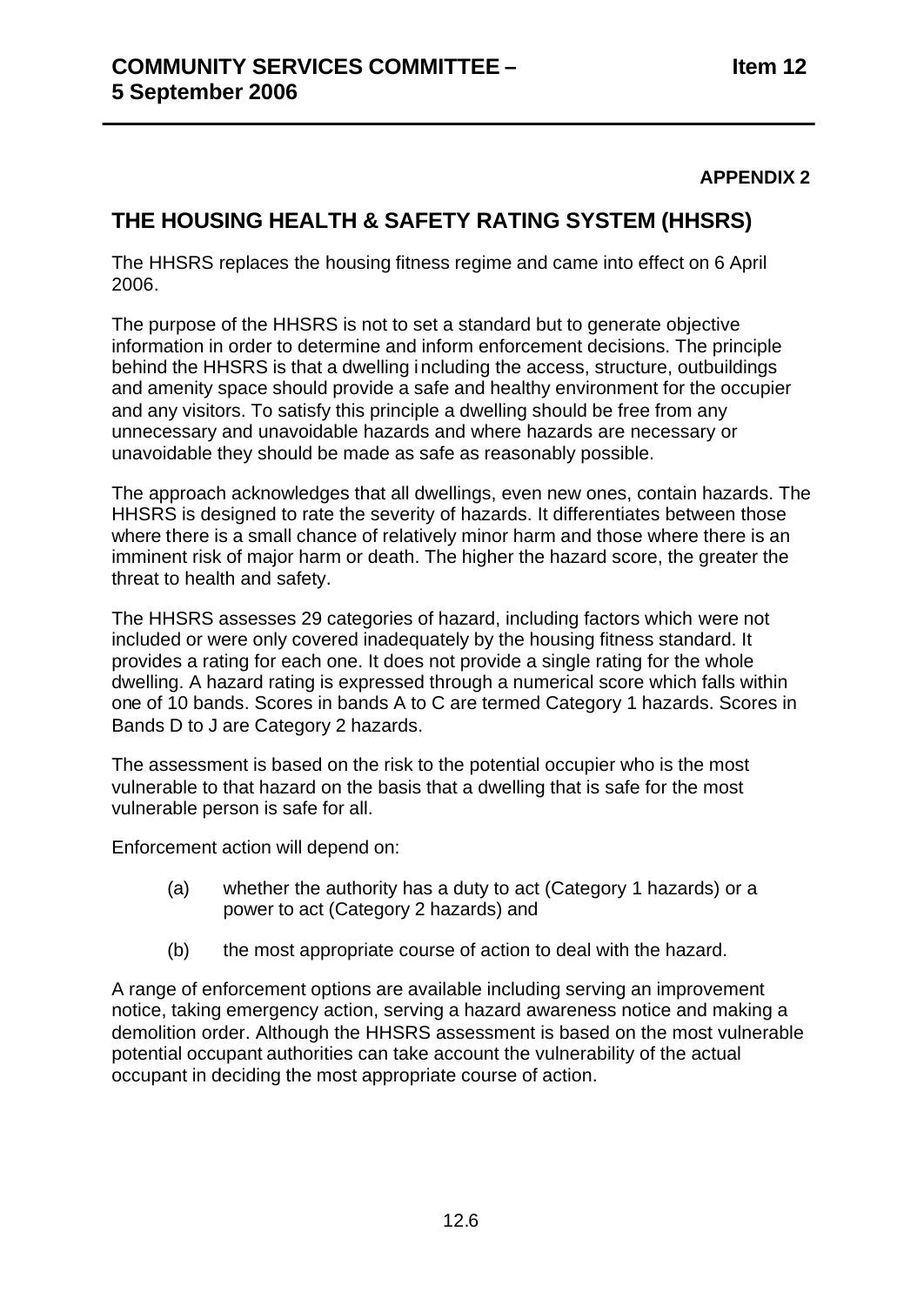### **APPENDIX 2**

## **THE HOUSING HEALTH & SAFETY RATING SYSTEM (HHSRS)**

The HHSRS replaces the housing fitness regime and came into effect on 6 April 2006.

The purpose of the HHSRS is not to set a standard but to generate objective information in order to determine and inform enforcement decisions. The principle behind the HHSRS is that a dwelling i ncluding the access, structure, outbuildings and amenity space should provide a safe and healthy environment for the occupier and any visitors. To satisfy this principle a dwelling should be free from any unnecessary and unavoidable hazards and where hazards are necessary or unavoidable they should be made as safe as reasonably possible.

The approach acknowledges that all dwellings, even new ones, contain hazards. The HHSRS is designed to rate the severity of hazards. It differentiates between those where there is a small chance of relatively minor harm and those where there is an imminent risk of major harm or death. The higher the hazard score, the greater the threat to health and safety.

The HHSRS assesses 29 categories of hazard, including factors which were not included or were only covered inadequately by the housing fitness standard. It provides a rating for each one. It does not provide a single rating for the whole dwelling. A hazard rating is expressed through a numerical score which falls within one of 10 bands. Scores in bands A to C are termed Category 1 hazards. Scores in Bands D to J are Category 2 hazards.

The assessment is based on the risk to the potential occupier who is the most vulnerable to that hazard on the basis that a dwelling that is safe for the most vulnerable person is safe for all.

Enforcement action will depend on:

- (a) whether the authority has a duty to act (Category 1 hazards) or a power to act (Category 2 hazards) and
- (b) the most appropriate course of action to deal with the hazard.

A range of enforcement options are available including serving an improvement notice, taking emergency action, serving a hazard awareness notice and making a demolition order. Although the HHSRS assessment is based on the most vulnerable potential occupant authorities can take account the vulnerability of the actual occupant in deciding the most appropriate course of action.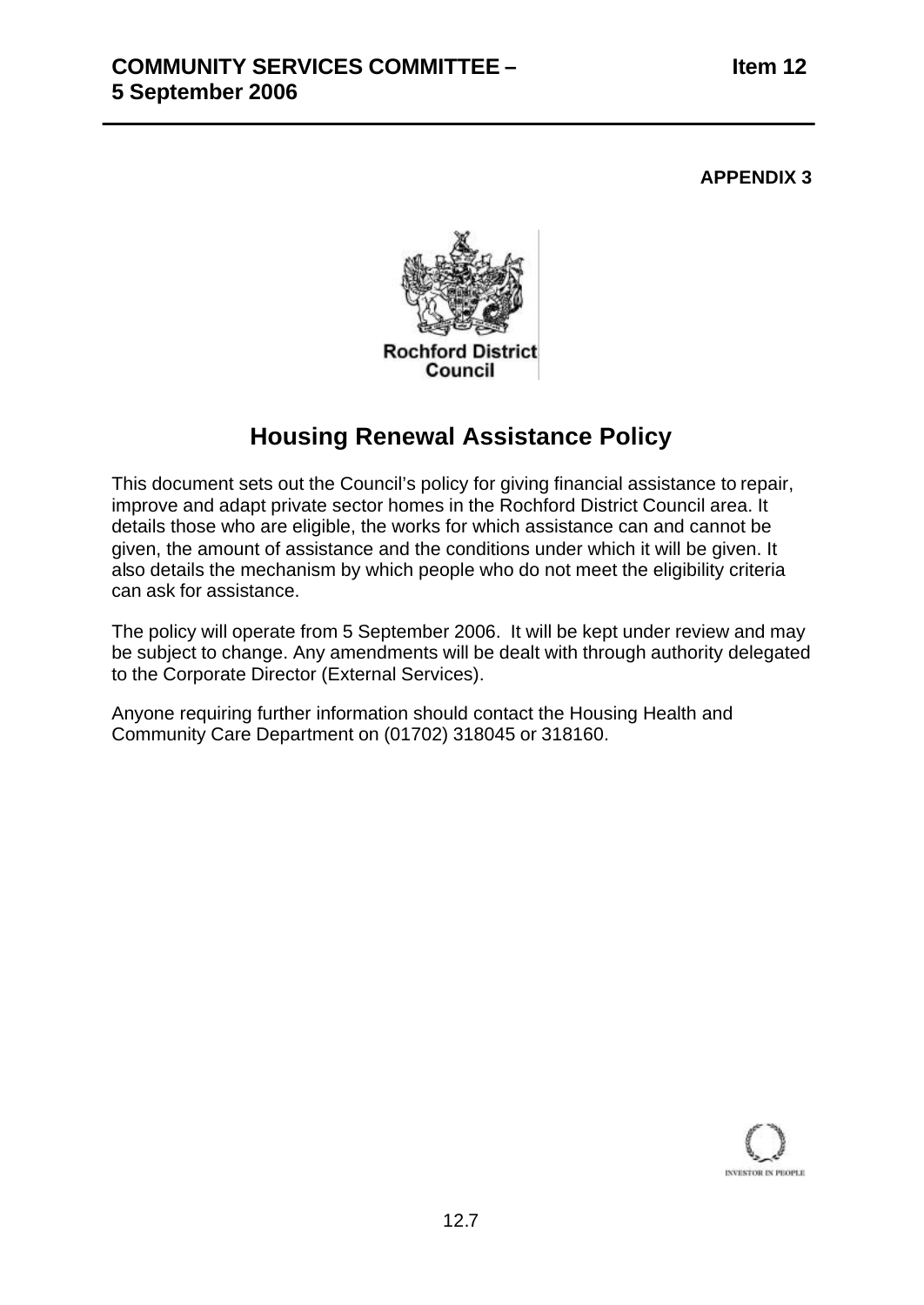#### **APPENDIX 3**



## **Housing Renewal Assistance Policy**

This document sets out the Council's policy for giving financial assistance to repair, improve and adapt private sector homes in the Rochford District Council area. It details those who are eligible, the works for which assistance can and cannot be given, the amount of assistance and the conditions under which it will be given. It also details the mechanism by which people who do not meet the eligibility criteria can ask for assistance.

The policy will operate from 5 September 2006. It will be kept under review and may be subject to change. Any amendments will be dealt with through authority delegated to the Corporate Director (External Services).

Anyone requiring further information should contact the Housing Health and Community Care Department on (01702) 318045 or 318160.

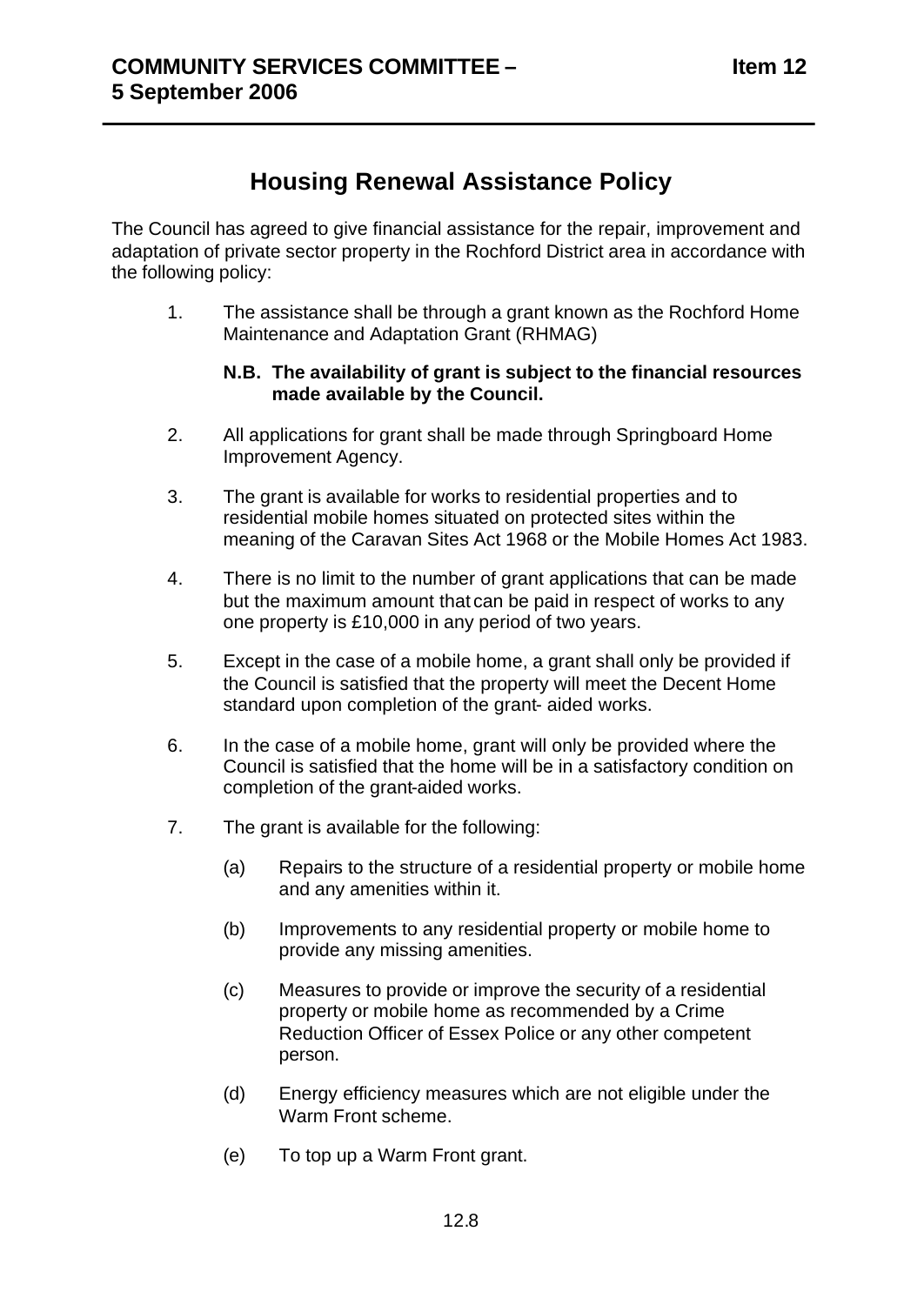# **Housing Renewal Assistance Policy**

The Council has agreed to give financial assistance for the repair, improvement and adaptation of private sector property in the Rochford District area in accordance with the following policy:

1. The assistance shall be through a grant known as the Rochford Home Maintenance and Adaptation Grant (RHMAG)

#### **N.B. The availability of grant is subject to the financial resources made available by the Council.**

- 2. All applications for grant shall be made through Springboard Home Improvement Agency.
- 3. The grant is available for works to residential properties and to residential mobile homes situated on protected sites within the meaning of the Caravan Sites Act 1968 or the Mobile Homes Act 1983.
- 4. There is no limit to the number of grant applications that can be made but the maximum amount that can be paid in respect of works to any one property is £10,000 in any period of two years.
- 5. Except in the case of a mobile home, a grant shall only be provided if the Council is satisfied that the property will meet the Decent Home standard upon completion of the grant- aided works.
- 6. In the case of a mobile home, grant will only be provided where the Council is satisfied that the home will be in a satisfactory condition on completion of the grant-aided works.
- 7. The grant is available for the following:
	- (a) Repairs to the structure of a residential property or mobile home and any amenities within it.
	- (b) Improvements to any residential property or mobile home to provide any missing amenities.
	- (c) Measures to provide or improve the security of a residential property or mobile home as recommended by a Crime Reduction Officer of Essex Police or any other competent person.
	- (d) Energy efficiency measures which are not eligible under the Warm Front scheme.
	- (e) To top up a Warm Front grant.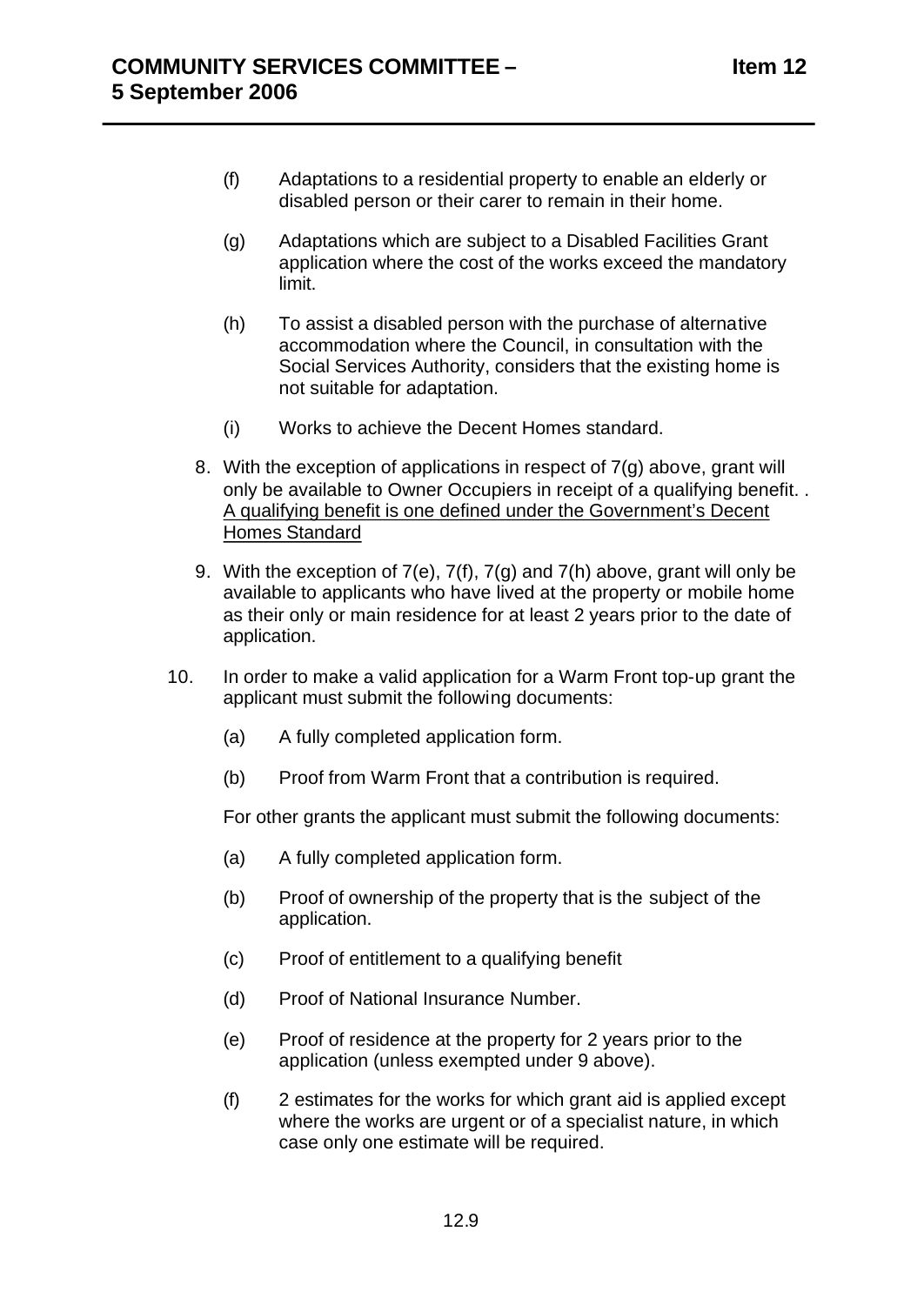- (f) Adaptations to a residential property to enable an elderly or disabled person or their carer to remain in their home.
- (g) Adaptations which are subject to a Disabled Facilities Grant application where the cost of the works exceed the mandatory limit.
- (h) To assist a disabled person with the purchase of alternative accommodation where the Council, in consultation with the Social Services Authority, considers that the existing home is not suitable for adaptation.
- (i) Works to achieve the Decent Homes standard.
- 8. With the exception of applications in respect of 7(g) above, grant will only be available to Owner Occupiers in receipt of a qualifying benefit. . A qualifying benefit is one defined under the Government's Decent Homes Standard
- 9. With the exception of 7(e), 7(f), 7(g) and 7(h) above, grant will only be available to applicants who have lived at the property or mobile home as their only or main residence for at least 2 years prior to the date of application.
- 10. In order to make a valid application for a Warm Front top-up grant the applicant must submit the following documents:
	- (a) A fully completed application form.
	- (b) Proof from Warm Front that a contribution is required.

For other grants the applicant must submit the following documents:

- (a) A fully completed application form.
- (b) Proof of ownership of the property that is the subject of the application.
- (c) Proof of entitlement to a qualifying benefit
- (d) Proof of National Insurance Number.
- (e) Proof of residence at the property for 2 years prior to the application (unless exempted under 9 above).
- (f) 2 estimates for the works for which grant aid is applied except where the works are urgent or of a specialist nature, in which case only one estimate will be required.